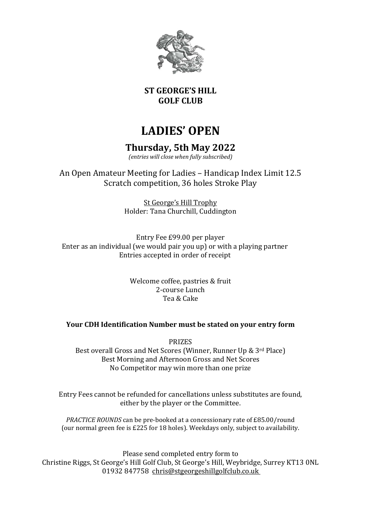

#### **ST GEORGE'S HILL GOLF CLUB**

# **LADIES' OPEN**

## **Thursday, 5th May 2022**

*(entries will close when fully subscribed)*

An Open Amateur Meeting for Ladies – Handicap Index Limit 12.5 Scratch competition, 36 holes Stroke Play

> St George's Hill Trophy Holder: Tana Churchill, Cuddington

Entry Fee £99.00 per player Enter as an individual (we would pair you up) or with a playing partner Entries accepted in order of receipt

> Welcome coffee, pastries & fruit 2-course Lunch Tea & Cake

#### **Your CDH Identification Number must be stated on your entry form**

PRIZES Best overall Gross and Net Scores (Winner, Runner Up & 3rd Place) Best Morning and Afternoon Gross and Net Scores No Competitor may win more than one prize

Entry Fees cannot be refunded for cancellations unless substitutes are found, either by the player or the Committee.

*PRACTICE ROUNDS* can be pre-booked at a concessionary rate of £85.00/round (our normal green fee is £225 for 18 holes). Weekdays only, subject to availability.

Please send completed entry form to Christine Riggs, St George's Hill Golf Club, St George's Hill, Weybridge, Surrey KT13 0NL 01932 847758 chris@stgeorgeshillgolfclub.co.uk